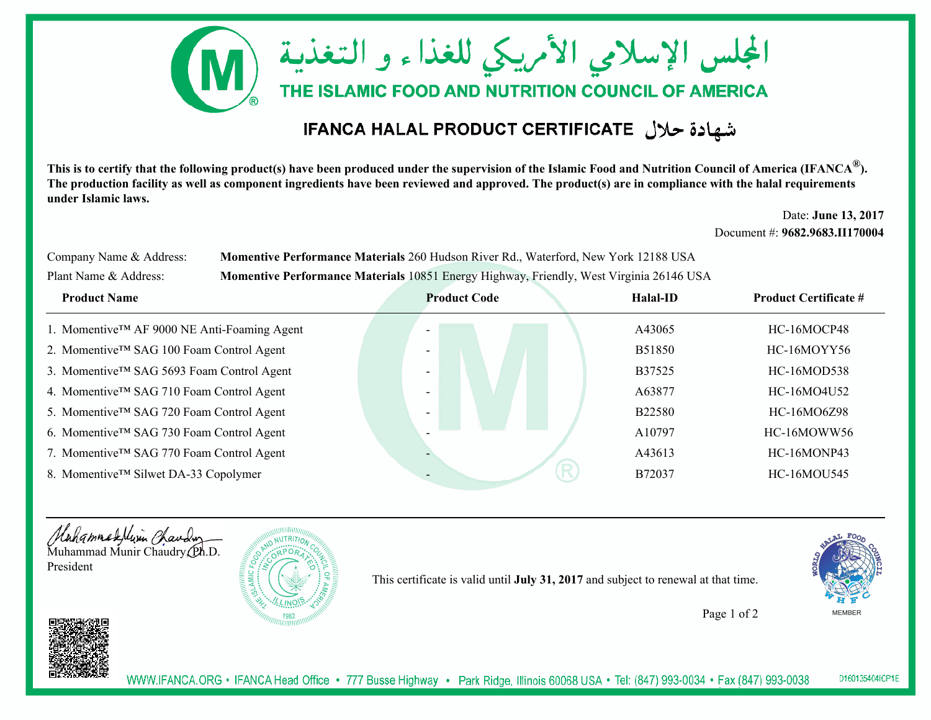

## القهادة حلال IFANCA HALAL PRODUCT CERTIFICATE

**This is to certify that the following product(s) have been produced under the supervision of the Islamic Food and Nutrition Council of America (IFANCA ®). The production facility as well as component ingredients have been reviewed and approved. The product(s) are in compliance with the halal requirements under Islamic laws.**

> Date: **June 13, 2017** Document #: **9682.9683.II170004**

| Company Name & Address: | Momentive Performance Materials 260 Hudson River Rd., Waterford, New York 12188 USA     |
|-------------------------|-----------------------------------------------------------------------------------------|
| Plant Name & Address:   | Momentive Performance Materials 10851 Energy Highway, Friendly, West Virginia 26146 USA |

| <b>Product Name</b>                                   | <b>Product Code</b>      | Halal-ID      | <b>Product Certificate #</b> |
|-------------------------------------------------------|--------------------------|---------------|------------------------------|
| 1. Momentive™ AF 9000 NE Anti-Foaming Agent           |                          | A43065        | HC-16MOCP48                  |
| 2. Momentive™ SAG 100 Foam Control Agent              |                          | <b>B51850</b> | HC-16MOYY56                  |
| 3. Momentive™ SAG 5693 Foam Control Agent             | $\overline{\phantom{0}}$ | B37525        | HC-16MOD538                  |
| 4. Momentive <sup>TM</sup> SAG 710 Foam Control Agent | $\overline{\phantom{0}}$ | A63877        | HC-16MO4U52                  |
| 5. Momentive™ SAG 720 Foam Control Agent              |                          | <b>B22580</b> | HC-16MO6Z98                  |
| 6. Momentive™ SAG 730 Foam Control Agent              |                          | A10797        | HC-16MOWW56                  |
| 7. Momentive™ SAG 770 Foam Control Agent              |                          | A43613        | HC-16MONP43                  |
| 8. Momentive™ Silwet DA-33 Copolymer                  |                          | B72037        | <b>HC-16MOU545</b>           |
|                                                       |                          |               |                              |





This certificate is valid until **July 31, 2017** and subject to renewal at that time.